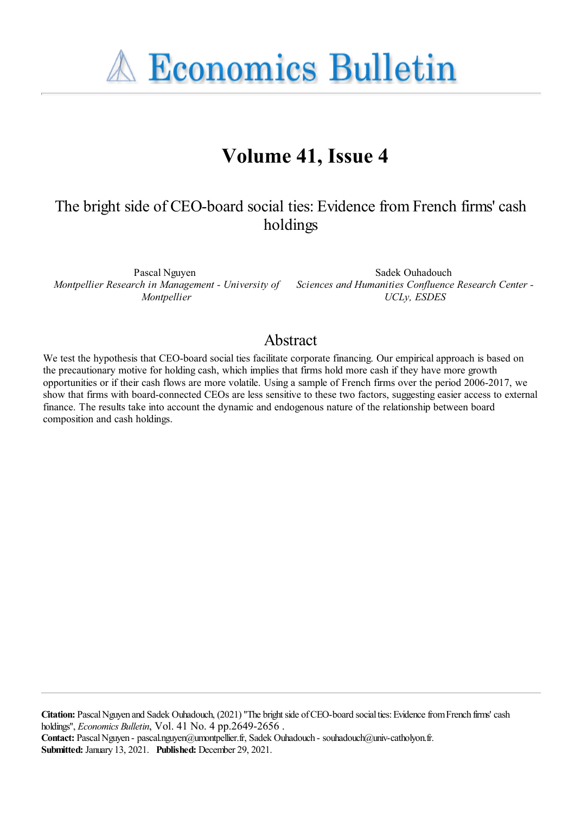**A Economics Bulletin** 

# **Volume 41, Issue 4**

## The bright side of CEO-board social ties: Evidence from French firms' cash holdings

Pascal Nguyen *Montpellier*

*Montpellier Research in Management - University of Sciences and Humanities Confluence Research Center -* Sadek Ouhadouch *UCLy, ESDES*

### Abstract

We test the hypothesis that CEO-board social ties facilitate corporate financing. Our empirical approach is based on the precautionary motive for holding cash, which implies that firms hold more cash if they have more growth opportunities or if their cash flows are more volatile. Using a sample of French firms over the period 2006-2017, we show that firms with board-connected CEOs are less sensitive to these two factors, suggesting easier access to external finance. The results take into account the dynamic and endogenous nature of the relationship between board composition and cash holdings.

**Citation:** Pascal Nguyen and Sadek Ouhadouch, (2021) "The bright side of CEO-board social ties: Evidence from French firms' cash holdings'', *Economics Bulletin*, Vol. 41 No. 4 pp.2649-2656 . Contact: Pascal Nguyen - pascal.nguyen@umontpellier.fr, Sadek Ouhadouch - souhadouch@univ-catholyon.fr. **Submitted:** January 13, 2021. **Published:** December 29, 2021.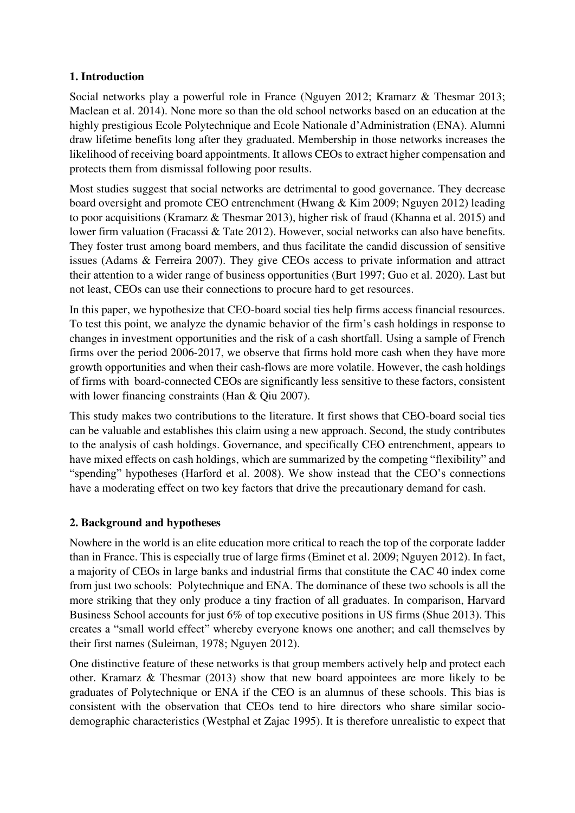#### **1. Introduction**

Social networks play a powerful role in France (Nguyen 2012; Kramarz & Thesmar 2013; Maclean et al. 2014). None more so than the old school networks based on an education at the highly prestigious Ecole Polytechnique and Ecole Nationale d'Administration (ENA). Alumni draw lifetime benefits long after they graduated. Membership in those networks increases the likelihood of receiving board appointments. It allows CEOs to extract higher compensation and protects them from dismissal following poor results.

Most studies suggest that social networks are detrimental to good governance. They decrease board oversight and promote CEO entrenchment (Hwang & Kim 2009; Nguyen 2012) leading to poor acquisitions (Kramarz & Thesmar 2013), higher risk of fraud (Khanna et al. 2015) and lower firm valuation (Fracassi & Tate 2012). However, social networks can also have benefits. They foster trust among board members, and thus facilitate the candid discussion of sensitive issues (Adams & Ferreira 2007). They give CEOs access to private information and attract their attention to a wider range of business opportunities (Burt 1997; Guo et al. 2020). Last but not least, CEOs can use their connections to procure hard to get resources.

In this paper, we hypothesize that CEO-board social ties help firms access financial resources. To test this point, we analyze the dynamic behavior of the firm's cash holdings in response to changes in investment opportunities and the risk of a cash shortfall. Using a sample of French firms over the period 2006-2017, we observe that firms hold more cash when they have more growth opportunities and when their cash-flows are more volatile. However, the cash holdings of firms with board-connected CEOs are significantly less sensitive to these factors, consistent with lower financing constraints (Han & Qiu 2007).

This study makes two contributions to the literature. It first shows that CEO-board social ties can be valuable and establishes this claim using a new approach. Second, the study contributes to the analysis of cash holdings. Governance, and specifically CEO entrenchment, appears to have mixed effects on cash holdings, which are summarized by the competing "flexibility" and "spending" hypotheses (Harford et al. 2008). We show instead that the CEO's connections have a moderating effect on two key factors that drive the precautionary demand for cash.

#### **2. Background and hypotheses**

Nowhere in the world is an elite education more critical to reach the top of the corporate ladder than in France. This is especially true of large firms (Eminet et al. 2009; Nguyen 2012). In fact, a majority of CEOs in large banks and industrial firms that constitute the CAC 40 index come from just two schools: Polytechnique and ENA. The dominance of these two schools is all the more striking that they only produce a tiny fraction of all graduates. In comparison, Harvard Business School accounts for just 6% of top executive positions in US firms (Shue 2013). This creates a "small world effect" whereby everyone knows one another; and call themselves by their first names (Suleiman, 1978; Nguyen 2012).

One distinctive feature of these networks is that group members actively help and protect each other. Kramarz & Thesmar (2013) show that new board appointees are more likely to be graduates of Polytechnique or ENA if the CEO is an alumnus of these schools. This bias is consistent with the observation that CEOs tend to hire directors who share similar sociodemographic characteristics (Westphal et Zajac 1995). It is therefore unrealistic to expect that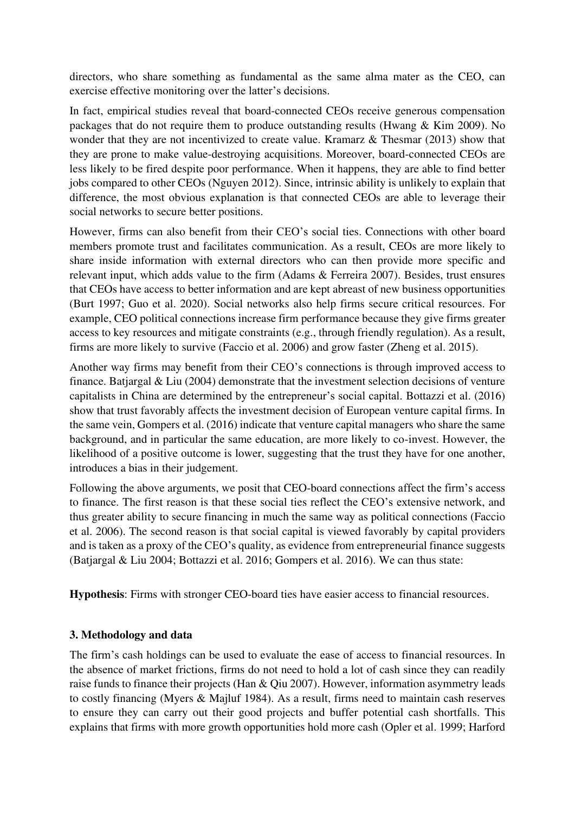directors, who share something as fundamental as the same alma mater as the CEO, can exercise effective monitoring over the latter's decisions.

In fact, empirical studies reveal that board-connected CEOs receive generous compensation packages that do not require them to produce outstanding results (Hwang & Kim 2009). No wonder that they are not incentivized to create value. Kramarz & Thesmar (2013) show that they are prone to make value-destroying acquisitions. Moreover, board-connected CEOs are less likely to be fired despite poor performance. When it happens, they are able to find better jobs compared to other CEOs (Nguyen 2012). Since, intrinsic ability is unlikely to explain that difference, the most obvious explanation is that connected CEOs are able to leverage their social networks to secure better positions.

However, firms can also benefit from their CEO's social ties. Connections with other board members promote trust and facilitates communication. As a result, CEOs are more likely to share inside information with external directors who can then provide more specific and relevant input, which adds value to the firm (Adams & Ferreira 2007). Besides, trust ensures that CEOs have access to better information and are kept abreast of new business opportunities (Burt 1997; Guo et al. 2020). Social networks also help firms secure critical resources. For example, CEO political connections increase firm performance because they give firms greater access to key resources and mitigate constraints (e.g., through friendly regulation). As a result, firms are more likely to survive (Faccio et al. 2006) and grow faster (Zheng et al. 2015).

Another way firms may benefit from their CEO's connections is through improved access to finance. Batjargal & Liu (2004) demonstrate that the investment selection decisions of venture capitalists in China are determined by the entrepreneur's social capital. Bottazzi et al. (2016) show that trust favorably affects the investment decision of European venture capital firms. In the same vein, Gompers et al. (2016) indicate that venture capital managers who share the same background, and in particular the same education, are more likely to co-invest. However, the likelihood of a positive outcome is lower, suggesting that the trust they have for one another, introduces a bias in their judgement.

Following the above arguments, we posit that CEO-board connections affect the firm's access to finance. The first reason is that these social ties reflect the CEO's extensive network, and thus greater ability to secure financing in much the same way as political connections (Faccio et al. 2006). The second reason is that social capital is viewed favorably by capital providers and is taken as a proxy of the CEO's quality, as evidence from entrepreneurial finance suggests (Batjargal & Liu 2004; Bottazzi et al. 2016; Gompers et al. 2016). We can thus state:

**Hypothesis**: Firms with stronger CEO-board ties have easier access to financial resources.

#### **3. Methodology and data**

The firm's cash holdings can be used to evaluate the ease of access to financial resources. In the absence of market frictions, firms do not need to hold a lot of cash since they can readily raise funds to finance their projects (Han & Qiu 2007). However, information asymmetry leads to costly financing (Myers & Majluf 1984). As a result, firms need to maintain cash reserves to ensure they can carry out their good projects and buffer potential cash shortfalls. This explains that firms with more growth opportunities hold more cash (Opler et al. 1999; Harford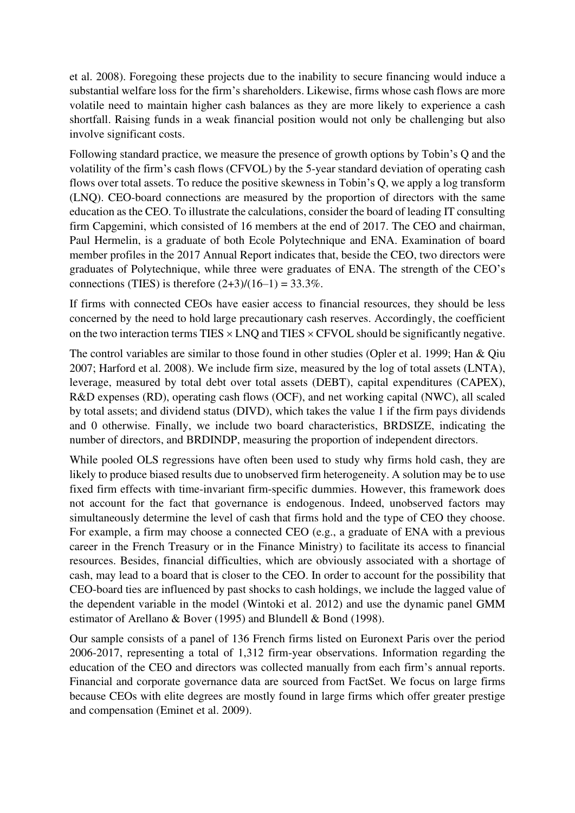et al. 2008). Foregoing these projects due to the inability to secure financing would induce a substantial welfare loss for the firm's shareholders. Likewise, firms whose cash flows are more volatile need to maintain higher cash balances as they are more likely to experience a cash shortfall. Raising funds in a weak financial position would not only be challenging but also involve significant costs.

Following standard practice, we measure the presence of growth options by Tobin's Q and the volatility of the firm's cash flows (CFVOL) by the 5-year standard deviation of operating cash flows over total assets. To reduce the positive skewness in Tobin's Q, we apply a log transform (LNQ). CEO-board connections are measured by the proportion of directors with the same education as the CEO. To illustrate the calculations, consider the board of leading IT consulting firm Capgemini, which consisted of 16 members at the end of 2017. The CEO and chairman, Paul Hermelin, is a graduate of both Ecole Polytechnique and ENA. Examination of board member profiles in the 2017 Annual Report indicates that, beside the CEO, two directors were graduates of Polytechnique, while three were graduates of ENA. The strength of the CEO's connections (TIES) is therefore  $(2+3)/(16-1) = 33.3\%$ .

If firms with connected CEOs have easier access to financial resources, they should be less concerned by the need to hold large precautionary cash reserves. Accordingly, the coefficient on the two interaction terms TIES  $\times$  LNO and TIES  $\times$  CFVOL should be significantly negative.

The control variables are similar to those found in other studies (Opler et al. 1999; Han & Qiu 2007; Harford et al. 2008). We include firm size, measured by the log of total assets (LNTA), leverage, measured by total debt over total assets (DEBT), capital expenditures (CAPEX), R&D expenses (RD), operating cash flows (OCF), and net working capital (NWC), all scaled by total assets; and dividend status (DIVD), which takes the value 1 if the firm pays dividends and 0 otherwise. Finally, we include two board characteristics, BRDSIZE, indicating the number of directors, and BRDINDP, measuring the proportion of independent directors.

While pooled OLS regressions have often been used to study why firms hold cash, they are likely to produce biased results due to unobserved firm heterogeneity. A solution may be to use fixed firm effects with time-invariant firm-specific dummies. However, this framework does not account for the fact that governance is endogenous. Indeed, unobserved factors may simultaneously determine the level of cash that firms hold and the type of CEO they choose. For example, a firm may choose a connected CEO (e.g., a graduate of ENA with a previous career in the French Treasury or in the Finance Ministry) to facilitate its access to financial resources. Besides, financial difficulties, which are obviously associated with a shortage of cash, may lead to a board that is closer to the CEO. In order to account for the possibility that CEO-board ties are influenced by past shocks to cash holdings, we include the lagged value of the dependent variable in the model (Wintoki et al. 2012) and use the dynamic panel GMM estimator of Arellano & Bover (1995) and Blundell & Bond (1998).

Our sample consists of a panel of 136 French firms listed on Euronext Paris over the period 2006-2017, representing a total of 1,312 firm-year observations. Information regarding the education of the CEO and directors was collected manually from each firm's annual reports. Financial and corporate governance data are sourced from FactSet. We focus on large firms because CEOs with elite degrees are mostly found in large firms which offer greater prestige and compensation (Eminet et al. 2009).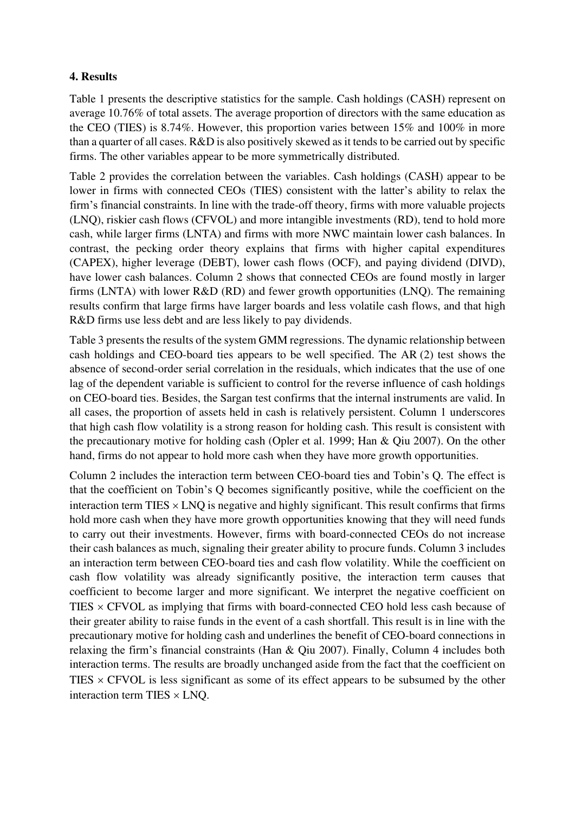#### **4. Results**

Table 1 presents the descriptive statistics for the sample. Cash holdings (CASH) represent on average 10.76% of total assets. The average proportion of directors with the same education as the CEO (TIES) is 8.74%. However, this proportion varies between 15% and 100% in more than a quarter of all cases. R&D is also positively skewed as it tends to be carried out by specific firms. The other variables appear to be more symmetrically distributed.

Table 2 provides the correlation between the variables. Cash holdings (CASH) appear to be lower in firms with connected CEOs (TIES) consistent with the latter's ability to relax the firm's financial constraints. In line with the trade-off theory, firms with more valuable projects (LNQ), riskier cash flows (CFVOL) and more intangible investments (RD), tend to hold more cash, while larger firms (LNTA) and firms with more NWC maintain lower cash balances. In contrast, the pecking order theory explains that firms with higher capital expenditures (CAPEX), higher leverage (DEBT), lower cash flows (OCF), and paying dividend (DIVD), have lower cash balances. Column 2 shows that connected CEOs are found mostly in larger firms (LNTA) with lower R&D (RD) and fewer growth opportunities (LNQ). The remaining results confirm that large firms have larger boards and less volatile cash flows, and that high R&D firms use less debt and are less likely to pay dividends.

Table 3 presents the results of the system GMM regressions. The dynamic relationship between cash holdings and CEO-board ties appears to be well specified. The AR (2) test shows the absence of second-order serial correlation in the residuals, which indicates that the use of one lag of the dependent variable is sufficient to control for the reverse influence of cash holdings on CEO-board ties. Besides, the Sargan test confirms that the internal instruments are valid. In all cases, the proportion of assets held in cash is relatively persistent. Column 1 underscores that high cash flow volatility is a strong reason for holding cash. This result is consistent with the precautionary motive for holding cash (Opler et al. 1999; Han & Qiu 2007). On the other hand, firms do not appear to hold more cash when they have more growth opportunities.

Column 2 includes the interaction term between CEO-board ties and Tobin's Q. The effect is that the coefficient on Tobin's Q becomes significantly positive, while the coefficient on the interaction term TIES  $\times$  LNO is negative and highly significant. This result confirms that firms hold more cash when they have more growth opportunities knowing that they will need funds to carry out their investments. However, firms with board-connected CEOs do not increase their cash balances as much, signaling their greater ability to procure funds. Column 3 includes an interaction term between CEO-board ties and cash flow volatility. While the coefficient on cash flow volatility was already significantly positive, the interaction term causes that coefficient to become larger and more significant. We interpret the negative coefficient on TIES  $\times$  CFVOL as implying that firms with board-connected CEO hold less cash because of their greater ability to raise funds in the event of a cash shortfall. This result is in line with the precautionary motive for holding cash and underlines the benefit of CEO-board connections in relaxing the firm's financial constraints (Han & Qiu 2007). Finally, Column 4 includes both interaction terms. The results are broadly unchanged aside from the fact that the coefficient on TIES  $\times$  CFVOL is less significant as some of its effect appears to be subsumed by the other interaction term TIES  $\times$  LNO.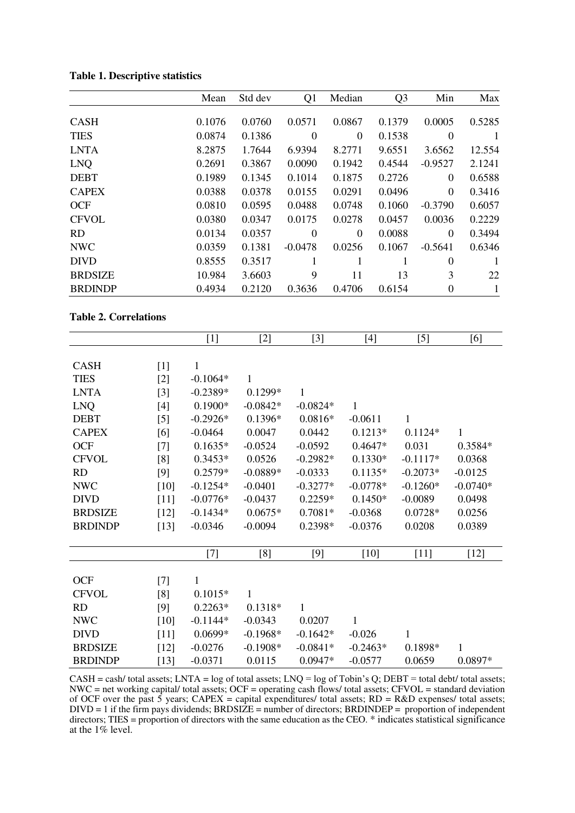|                | Mean   | Std dev | Q1        | Median         | Q <sub>3</sub> | Min              | Max          |
|----------------|--------|---------|-----------|----------------|----------------|------------------|--------------|
| <b>CASH</b>    | 0.1076 | 0.0760  | 0.0571    | 0.0867         | 0.1379         | 0.0005           | 0.5285       |
| <b>TIES</b>    | 0.0874 | 0.1386  | $\theta$  | $\overline{0}$ | 0.1538         | $\theta$         | $\mathbf{1}$ |
| <b>LNTA</b>    | 8.2875 | 1.7644  | 6.9394    | 8.2771         | 9.6551         | 3.6562           | 12.554       |
| <b>LNO</b>     | 0.2691 | 0.3867  | 0.0090    | 0.1942         | 0.4544         | $-0.9527$        | 2.1241       |
| <b>DEBT</b>    | 0.1989 | 0.1345  | 0.1014    | 0.1875         | 0.2726         | $\theta$         | 0.6588       |
| <b>CAPEX</b>   | 0.0388 | 0.0378  | 0.0155    | 0.0291         | 0.0496         | $\overline{0}$   | 0.3416       |
| <b>OCF</b>     | 0.0810 | 0.0595  | 0.0488    | 0.0748         | 0.1060         | $-0.3790$        | 0.6057       |
| <b>CFVOL</b>   | 0.0380 | 0.0347  | 0.0175    | 0.0278         | 0.0457         | 0.0036           | 0.2229       |
| RD             | 0.0134 | 0.0357  | $\Omega$  | $\theta$       | 0.0088         | $\theta$         | 0.3494       |
| <b>NWC</b>     | 0.0359 | 0.1381  | $-0.0478$ | 0.0256         | 0.1067         | $-0.5641$        | 0.6346       |
| <b>DIVD</b>    | 0.8555 | 0.3517  | 1         | 1              |                | $\theta$         | $\mathbf{1}$ |
| <b>BRDSIZE</b> | 10.984 | 3.6603  | 9         | 11             | 13             | 3                | 22           |
| <b>BRDINDP</b> | 0.4934 | 0.2120  | 0.3636    | 0.4706         | 0.6154         | $\boldsymbol{0}$ | 1            |

**Table 1. Descriptive statistics** 

#### **Table 2. Correlations**

|                |        | $[1]$        | $[2]$      | $[3]$      | $[4]$      | $[5]$        | [6]        |
|----------------|--------|--------------|------------|------------|------------|--------------|------------|
|                |        |              |            |            |            |              |            |
| <b>CASH</b>    | $[1]$  | $\mathbf{1}$ |            |            |            |              |            |
| <b>TIES</b>    | $[2]$  | $-0.1064*$   | 1          |            |            |              |            |
| <b>LNTA</b>    | $[3]$  | $-0.2389*$   | $0.1299*$  | 1          |            |              |            |
| <b>LNQ</b>     | $[4]$  | $0.1900*$    | $-0.0842*$ | $-0.0824*$ | 1          |              |            |
| <b>DEBT</b>    | $[5]$  | $-0.2926*$   | $0.1396*$  | $0.0816*$  | $-0.0611$  | $\mathbf{1}$ |            |
| <b>CAPEX</b>   | [6]    | $-0.0464$    | 0.0047     | 0.0442     | $0.1213*$  | $0.1124*$    | 1          |
| <b>OCF</b>     | $[7]$  | $0.1635*$    | $-0.0524$  | $-0.0592$  | $0.4647*$  | 0.031        | 0.3584*    |
| <b>CFVOL</b>   | [8]    | $0.3453*$    | 0.0526     | $-0.2982*$ | $0.1330*$  | $-0.1117*$   | 0.0368     |
| RD             | [9]    | $0.2579*$    | $-0.0889*$ | $-0.0333$  | $0.1135*$  | $-0.2073*$   | $-0.0125$  |
| <b>NWC</b>     | $[10]$ | $-0.1254*$   | $-0.0401$  | $-0.3277*$ | $-0.0778*$ | $-0.1260*$   | $-0.0740*$ |
| <b>DIVD</b>    | $[11]$ | $-0.0776*$   | $-0.0437$  | $0.2259*$  | $0.1450*$  | $-0.0089$    | 0.0498     |
| <b>BRDSIZE</b> | $[12]$ | $-0.1434*$   | $0.0675*$  | $0.7081*$  | $-0.0368$  | $0.0728*$    | 0.0256     |
| <b>BRDINDP</b> | $[13]$ | $-0.0346$    | $-0.0094$  | 0.2398*    | $-0.0376$  | 0.0208       | 0.0389     |
|                |        |              |            |            |            |              |            |
|                |        | $[7]$        | [8]        | $[9]$      | $[10]$     | $[11]$       | $[12]$     |
|                |        |              |            |            |            |              |            |
| OCF            | $[7]$  | 1            |            |            |            |              |            |
| <b>CFVOL</b>   | [8]    | $0.1015*$    | 1          |            |            |              |            |
| RD             | [9]    | $0.2263*$    | $0.1318*$  | 1          |            |              |            |
| <b>NWC</b>     | $[10]$ | $-0.1144*$   | $-0.0343$  | 0.0207     | 1          |              |            |
| <b>DIVD</b>    | $[11]$ | $0.0699*$    | $-0.1968*$ | $-0.1642*$ | $-0.026$   | 1            |            |
| <b>BRDSIZE</b> | $[12]$ | $-0.0276$    | $-0.1908*$ | $-0.0841*$ | $-0.2463*$ | 0.1898*      | 1          |
| <b>BRDINDP</b> | $[13]$ | $-0.0371$    | 0.0115     | $0.0947*$  | $-0.0577$  | 0.0659       | $0.0897*$  |

CASH = cash/ total assets; LNTA = log of total assets; LNQ = log of Tobin's Q; DEBT = total debt/ total assets; NWC = net working capital/ total assets; OCF = operating cash flows/ total assets; CFVOL = standard deviation of OCF over the past 5 years;  $CAPEX = capital$  expenditures/ total assets;  $RD = R&D$  expenses/ total assets; DIVD = 1 if the firm pays dividends; BRDSIZE = number of directors; BRDINDEP = proportion of independent directors; TIES = proportion of directors with the same education as the CEO. \* indicates statistical significance at the 1% level.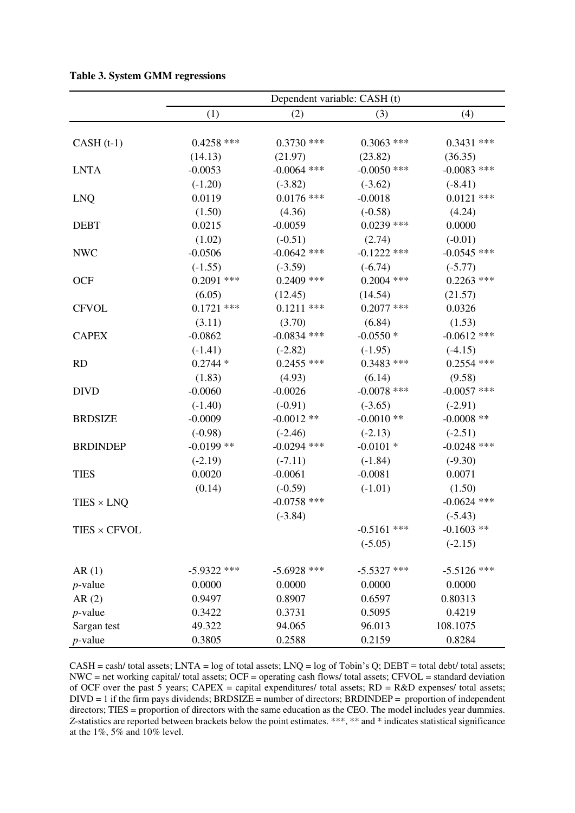|                   | Dependent variable: CASH (t) |               |               |               |  |  |  |
|-------------------|------------------------------|---------------|---------------|---------------|--|--|--|
|                   | (1)                          | (2)           | (3)           | (4)           |  |  |  |
|                   |                              |               |               |               |  |  |  |
| $CASH(t-1)$       | $0.4258$ ***                 | $0.3730$ ***  | $0.3063$ ***  | $0.3431$ ***  |  |  |  |
|                   | (14.13)                      | (21.97)       | (23.82)       | (36.35)       |  |  |  |
| <b>LNTA</b>       | $-0.0053$                    | $-0.0064$ *** | $-0.0050$ *** | $-0.0083$ *** |  |  |  |
|                   | $(-1.20)$                    | $(-3.82)$     | $(-3.62)$     | $(-8.41)$     |  |  |  |
| <b>LNQ</b>        | 0.0119                       | $0.0176$ ***  | $-0.0018$     | $0.0121$ ***  |  |  |  |
|                   | (1.50)                       | (4.36)        | $(-0.58)$     | (4.24)        |  |  |  |
| <b>DEBT</b>       | 0.0215                       | $-0.0059$     | $0.0239$ ***  | 0.0000        |  |  |  |
|                   | (1.02)                       | $(-0.51)$     | (2.74)        | $(-0.01)$     |  |  |  |
| <b>NWC</b>        | $-0.0506$                    | $-0.0642$ *** | $-0.1222$ *** | $-0.0545$ *** |  |  |  |
|                   | $(-1.55)$                    | $(-3.59)$     | $(-6.74)$     | $(-5.77)$     |  |  |  |
| <b>OCF</b>        | $0.2091$ ***                 | $0.2409$ ***  | $0.2004$ ***  | $0.2263$ ***  |  |  |  |
|                   | (6.05)                       | (12.45)       | (14.54)       | (21.57)       |  |  |  |
| <b>CFVOL</b>      | $0.1721$ ***                 | $0.1211$ ***  | $0.2077$ ***  | 0.0326        |  |  |  |
|                   | (3.11)                       | (3.70)        | (6.84)        | (1.53)        |  |  |  |
| <b>CAPEX</b>      | $-0.0862$                    | $-0.0834$ *** | $-0.0550*$    | $-0.0612$ *** |  |  |  |
|                   | $(-1.41)$                    | $(-2.82)$     | $(-1.95)$     | $(-4.15)$     |  |  |  |
| <b>RD</b>         | $0.2744*$                    | $0.2455$ ***  | $0.3483$ ***  | $0.2554$ ***  |  |  |  |
|                   | (1.83)                       | (4.93)        | (6.14)        | (9.58)        |  |  |  |
| <b>DIVD</b>       | $-0.0060$                    | $-0.0026$     | $-0.0078$ *** | $-0.0057$ *** |  |  |  |
|                   | $(-1.40)$                    | $(-0.91)$     | $(-3.65)$     | $(-2.91)$     |  |  |  |
| <b>BRDSIZE</b>    | $-0.0009$                    | $-0.0012$ **  | $-0.0010**$   | $-0.0008$ **  |  |  |  |
|                   | $(-0.98)$                    | $(-2.46)$     | $(-2.13)$     | $(-2.51)$     |  |  |  |
| <b>BRDINDEP</b>   | $-0.0199$ **                 | $-0.0294$ *** | $-0.0101$ *   | $-0.0248$ *** |  |  |  |
|                   | $(-2.19)$                    | $(-7.11)$     | $(-1.84)$     | $(-9.30)$     |  |  |  |
| <b>TIES</b>       | 0.0020                       | $-0.0061$     | $-0.0081$     | 0.0071        |  |  |  |
|                   | (0.14)                       | $(-0.59)$     | $(-1.01)$     | (1.50)        |  |  |  |
| $TIES \times LNQ$ |                              | $-0.0758$ *** |               | $-0.0624$ *** |  |  |  |
|                   |                              | $(-3.84)$     |               | $(-5.43)$     |  |  |  |
| TIES × CFVOL      |                              |               | $-0.5161$ *** | $-0.1603$ **  |  |  |  |
|                   |                              |               | $(-5.05)$     | $(-2.15)$     |  |  |  |
|                   |                              |               |               |               |  |  |  |
| AR(1)             | $-5.9322$ ***                | $-5.6928$ *** | $-5.5327$ *** | $-5.5126$ *** |  |  |  |
| $p$ -value        | 0.0000                       | 0.0000        | 0.0000        | 0.0000        |  |  |  |
| AR(2)             | 0.9497                       | 0.8907        | 0.6597        | 0.80313       |  |  |  |
| $p$ -value        | 0.3422                       | 0.3731        | 0.5095        | 0.4219        |  |  |  |
| Sargan test       | 49.322                       | 94.065        | 96.013        | 108.1075      |  |  |  |
| $p$ -value        | 0.3805                       | 0.2588        | 0.2159        | 0.8284        |  |  |  |

**Table 3. System GMM regressions** 

CASH = cash/ total assets; LNTA = log of total assets; LNQ = log of Tobin's Q; DEBT = total debt/ total assets; NWC = net working capital/ total assets; OCF = operating cash flows/ total assets; CFVOL = standard deviation of OCF over the past 5 years;  $CAPEX =$  capital expenditures/ total assets;  $RD = R&D$  expenses/ total assets;  $DIVD = 1$  if the firm pays dividends;  $BRDSIZE = number of \, directions; BRDINDER = proportion \, of \, independent \,$ directors; TIES = proportion of directors with the same education as the CEO. The model includes year dummies. *Z*-statistics are reported between brackets below the point estimates. \*\*\*, \*\* and \* indicates statistical significance at the 1%, 5% and 10% level.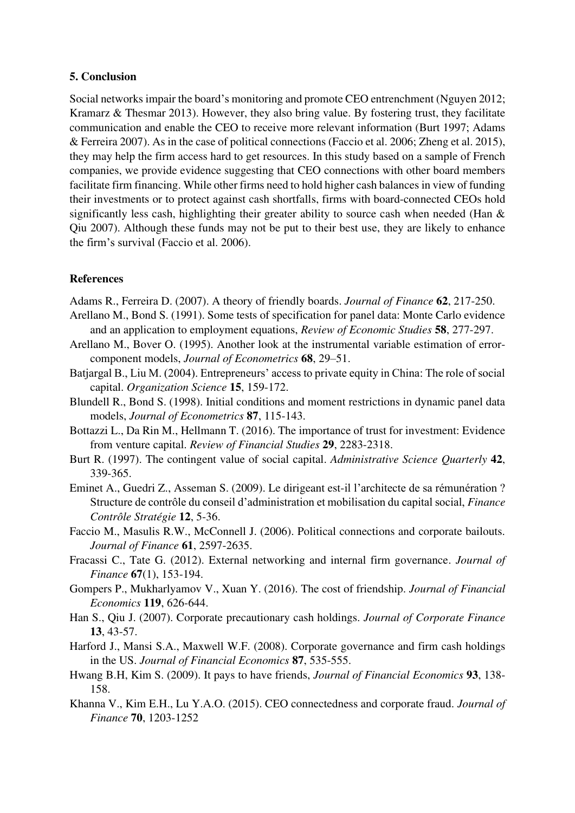#### **5. Conclusion**

Social networks impair the board's monitoring and promote CEO entrenchment (Nguyen 2012; Kramarz & Thesmar 2013). However, they also bring value. By fostering trust, they facilitate communication and enable the CEO to receive more relevant information (Burt 1997; Adams & Ferreira 2007). As in the case of political connections (Faccio et al. 2006; Zheng et al. 2015), they may help the firm access hard to get resources. In this study based on a sample of French companies, we provide evidence suggesting that CEO connections with other board members facilitate firm financing. While other firms need to hold higher cash balances in view of funding their investments or to protect against cash shortfalls, firms with board-connected CEOs hold significantly less cash, highlighting their greater ability to source cash when needed (Han & Qiu 2007). Although these funds may not be put to their best use, they are likely to enhance the firm's survival (Faccio et al. 2006).

#### **References**

Adams R., Ferreira D. (2007). A theory of friendly boards. *Journal of Finance* **62**, 217-250.

- Arellano M., Bond S. (1991). Some tests of specification for panel data: Monte Carlo evidence and an application to employment equations, *Review of Economic Studies* **58**, 277-297.
- Arellano M., Bover O. (1995). Another look at the instrumental variable estimation of errorcomponent models, *Journal of Econometrics* **68**, 29–51.
- Batjargal B., Liu M. (2004). Entrepreneurs' access to private equity in China: The role of social capital. *Organization Science* **15**, 159-172.
- Blundell R., Bond S. (1998). Initial conditions and moment restrictions in dynamic panel data models, *Journal of Econometrics* **87**, 115-143.
- Bottazzi L., Da Rin M., Hellmann T. (2016). The importance of trust for investment: Evidence from venture capital. *Review of Financial Studies* **29**, 2283-2318.
- Burt R. (1997). The contingent value of social capital. *Administrative Science Quarterly* **42**, 339-365.
- Eminet A., Guedri Z., Asseman S. (2009). Le dirigeant est-il l'architecte de sa rémunération ? Structure de contrôle du conseil d'administration et mobilisation du capital social, *Finance Contrôle Stratégie* **12**, 5-36.
- Faccio M., Masulis R.W., McConnell J. (2006). Political connections and corporate bailouts. *Journal of Finance* **61**, 2597-2635.
- Fracassi C., Tate G. (2012). External networking and internal firm governance. *Journal of Finance* **67**(1), 153-194.
- Gompers P., Mukharlyamov V., Xuan Y. (2016). The cost of friendship. *Journal of Financial Economics* **119**, 626-644.
- Han S., Qiu J. (2007). Corporate precautionary cash holdings. *Journal of Corporate Finance* **13**, 43-57.
- Harford J., Mansi S.A., Maxwell W.F. (2008). Corporate governance and firm cash holdings in the US. *Journal of Financial Economics* **87**, 535-555.
- Hwang B.H, Kim S. (2009). It pays to have friends, *Journal of Financial Economics* **93**, 138- 158.
- Khanna V., Kim E.H., Lu Y.A.O. (2015). CEO connectedness and corporate fraud. *Journal of Finance* **70**, 1203-1252